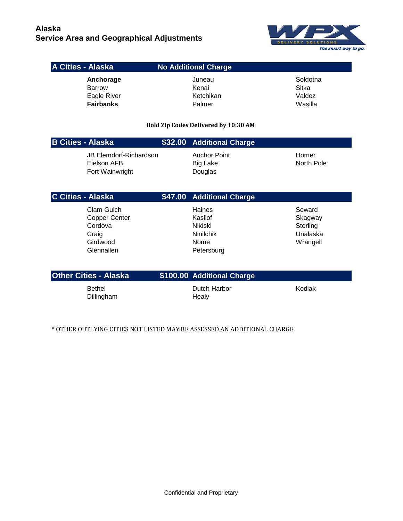

## **A Cities - Alaska No Additional Charge**

Anchorage **Juneau Juneau** Soldotna Barrow **Kenai** Kenai Sitka Eagle River **Ketchikan** Ketchikan Valdez **Fairbanks Palmer** Palmer Wasilla

**Bold Zip Codes Delivered by 10:30 AM** 

| <b>B Cities - Alaska</b>                                 | \$32.00 Additional Charge                         |                     |
|----------------------------------------------------------|---------------------------------------------------|---------------------|
| JB Elemdorf-Richardson<br>Eielson AFB<br>Fort Wainwright | <b>Anchor Point</b><br><b>Big Lake</b><br>Douglas | Homer<br>North Pole |

| <b>C Cities - Alaska</b> | \$47.00 Additional Charge         |          |
|--------------------------|-----------------------------------|----------|
| Clam Gulch               | Haines                            | Seward   |
| <b>Copper Center</b>     | Kasilof                           | Skagway  |
| Cordova                  | Nikiski                           | Sterling |
| Craig                    | <b>Ninilchik</b>                  | Unalaska |
| Girdwood                 | Nome                              | Wrangell |
| Glennallen               | Petersburg                        |          |
|                          |                                   |          |
| $\bigcap_{i=1}^{n}$      | <b>CADO OO ASSISTED OF THE CO</b> |          |

| <b>Other Cities - Alaska</b> | \$100.00 Additional Charge |        |
|------------------------------|----------------------------|--------|
| Bethel<br>Dillingham         | Dutch Harbor<br>Healv      | Kodiak |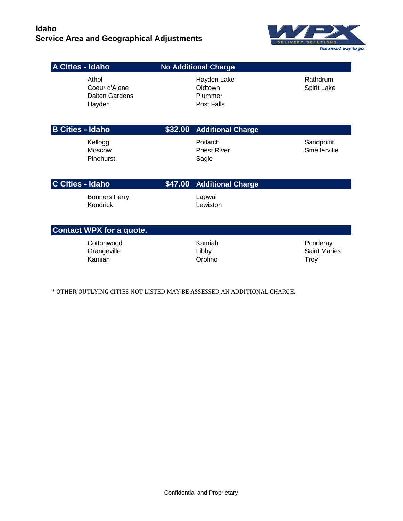

**A Cities - Idaho No Additional Charge** Athol **Athol Access 12 Athol** Hayden Lake Rathdrum Coeur d'Alene Coeur d'Alene Coeur d'Alene Coeur d'Alene Coeur d'Alene Coeur d'Alene Coeur d'Alene Coeur de Coeu Dalton Gardens **Plummer** Hayden **Post Falls B Cities - Idaho \$32.00 Additional Charge** Kellogg **Potlatch** Potlatch Sandpoint Moscow **Priest River Smelterville Priest River** Smelterville Pinehurst Sagle **C Cities - Idaho \$47.00 Additional Charge** Bonners Ferry **Lapwai** Kendrick **Lewiston Contact WPX for a quote.**  Cottonwood **Examiah** Kamiah **Ponderay** Ponderay Grangeville **Contract Contract Contract Contract Contract Contract Contract Contract Contract Contract Contract Contract Contract Contract Contract Contract Contract Contract Contract Contract Contract Contract Contract Co** 

Kamiah Orofino Troy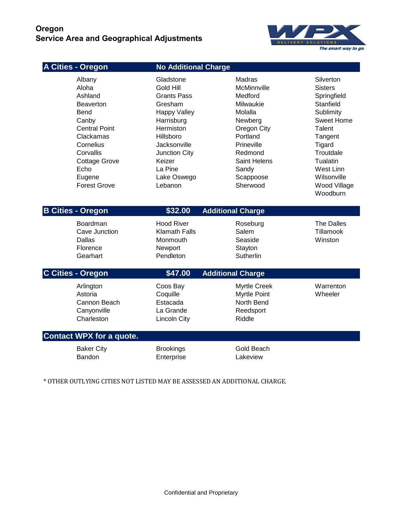## **Oregon Service Area and Geographical Adjustments**



| A Cities - Oregon                                                                                                                                                                               | <b>No Additional Charge</b>                                                                                                                                                                            |                                                                                                                                                                           |                                                                                                                                                                                                    |
|-------------------------------------------------------------------------------------------------------------------------------------------------------------------------------------------------|--------------------------------------------------------------------------------------------------------------------------------------------------------------------------------------------------------|---------------------------------------------------------------------------------------------------------------------------------------------------------------------------|----------------------------------------------------------------------------------------------------------------------------------------------------------------------------------------------------|
| Albany<br>Aloha<br>Ashland<br><b>Beaverton</b><br>Bend<br>Canby<br><b>Central Point</b><br>Clackamas<br>Cornelius<br>Corvallis<br><b>Cottage Grove</b><br>Echo<br>Eugene<br><b>Forest Grove</b> | Gladstone<br>Gold Hill<br>Grants Pass<br>Gresham<br><b>Happy Valley</b><br>Harrisburg<br>Hermiston<br>Hillsboro<br>Jacksonville<br><b>Junction City</b><br>Keizer<br>La Pine<br>Lake Oswego<br>Lebanon | Madras<br>McMinnville<br>Medford<br>Milwaukie<br>Molalla<br>Newberg<br>Oregon City<br>Portland<br>Prineville<br>Redmond<br>Saint Helens<br>Sandy<br>Scappoose<br>Sherwood | Silverton<br><b>Sisters</b><br>Springfield<br>Stanfield<br>Sublimity<br>Sweet Home<br>Talent<br>Tangent<br>Tigard<br>Troutdale<br>Tualatin<br>West Linn<br>Wilsonville<br>Wood Village<br>Woodburn |
| <b>B Cities - Oregon</b>                                                                                                                                                                        | \$32.00                                                                                                                                                                                                | <b>Additional Charge</b>                                                                                                                                                  |                                                                                                                                                                                                    |
| Boardman                                                                                                                                                                                        | <b>Hood River</b>                                                                                                                                                                                      | Roseburg                                                                                                                                                                  | <b>The Dalles</b>                                                                                                                                                                                  |
| Cave Junction<br><b>Dallas</b><br>Florence<br>Gearhart                                                                                                                                          | <b>Klamath Falls</b><br>Monmouth<br>Newport<br>Pendleton                                                                                                                                               | Salem<br>Seaside<br>Stayton<br>Sutherlin                                                                                                                                  | Tillamook<br>Winston                                                                                                                                                                               |
| C Cities - Oregon                                                                                                                                                                               | \$47.00                                                                                                                                                                                                | <b>Additional Charge</b>                                                                                                                                                  |                                                                                                                                                                                                    |
| Arlington<br>Astoria<br>Cannon Beach<br>Canyonville<br>Charleston                                                                                                                               | Coos Bay<br>Coquille<br>Estacada<br>La Grande<br><b>Lincoln City</b>                                                                                                                                   | <b>Myrtle Creek</b><br>Myrtle Point<br>North Bend<br>Reedsport<br>Riddle                                                                                                  | Warrenton<br>Wheeler                                                                                                                                                                               |
| <b>Contact WPX for a quote.</b>                                                                                                                                                                 |                                                                                                                                                                                                        |                                                                                                                                                                           |                                                                                                                                                                                                    |